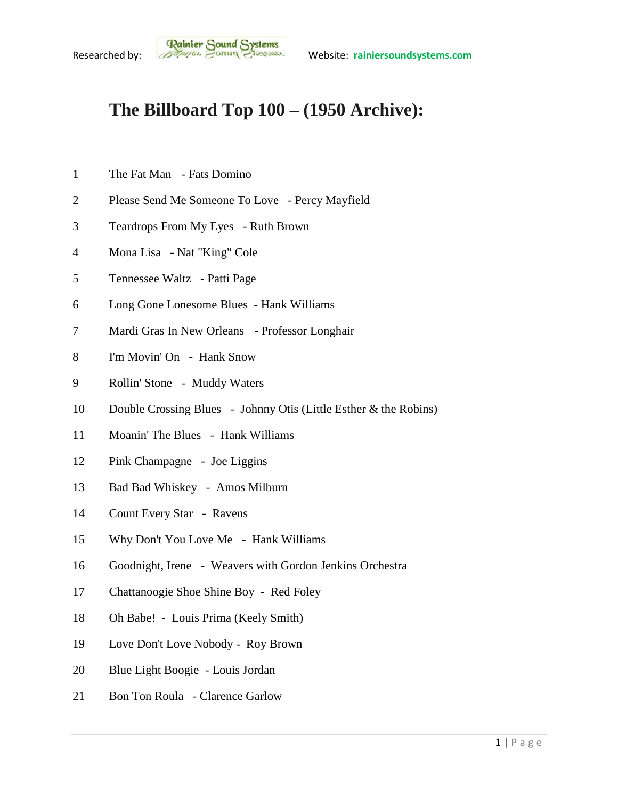## **The Billboard Top 100 – (1950 Archive):**

- The Fat Man Fats Domino
- Please Send Me Someone To Love Percy Mayfield
- Teardrops From My Eyes Ruth Brown
- Mona Lisa Nat "King" Cole
- Tennessee Waltz Patti Page
- Long Gone Lonesome Blues Hank Williams
- Mardi Gras In New Orleans Professor Longhair
- I'm Movin' On Hank Snow
- Rollin' Stone Muddy Waters
- Double Crossing Blues Johnny Otis (Little Esther & the Robins)
- Moanin' The Blues Hank Williams
- Pink Champagne Joe Liggins
- Bad Bad Whiskey Amos Milburn
- Count Every Star Ravens
- Why Don't You Love Me Hank Williams
- Goodnight, Irene Weavers with Gordon Jenkins Orchestra
- Chattanoogie Shoe Shine Boy Red Foley
- Oh Babe! Louis Prima (Keely Smith)
- Love Don't Love Nobody Roy Brown
- Blue Light Boogie Louis Jordan
- Bon Ton Roula Clarence Garlow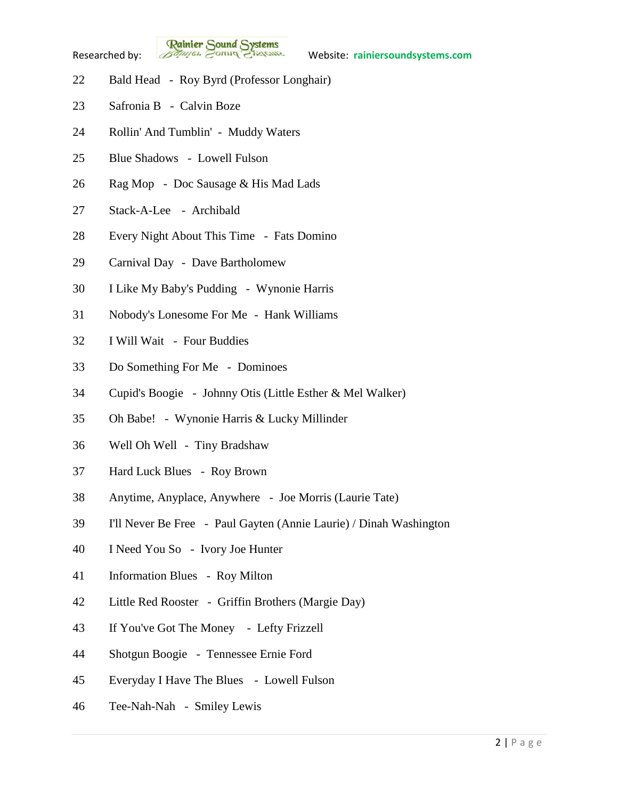

**Rainier Sound Systems**<br>Researched by: *Bothuges* Conner Charantee Website: rainiersoundsystems.com

- Bald Head Roy Byrd (Professor Longhair)
- Safronia B Calvin Boze
- Rollin' And Tumblin' Muddy Waters
- Blue Shadows Lowell Fulson
- Rag Mop Doc Sausage & His Mad Lads
- Stack-A-Lee Archibald
- Every Night About This Time Fats Domino
- Carnival Day Dave Bartholomew
- I Like My Baby's Pudding Wynonie Harris
- Nobody's Lonesome For Me Hank Williams
- I Will Wait Four Buddies
- Do Something For Me Dominoes
- Cupid's Boogie Johnny Otis (Little Esther & Mel Walker)
- Oh Babe! Wynonie Harris & Lucky Millinder
- Well Oh Well Tiny Bradshaw
- Hard Luck Blues Roy Brown
- Anytime, Anyplace, Anywhere Joe Morris (Laurie Tate)
- I'll Never Be Free Paul Gayten (Annie Laurie) / Dinah Washington
- I Need You So Ivory Joe Hunter
- Information Blues Roy Milton
- Little Red Rooster Griffin Brothers (Margie Day)
- If You've Got The Money Lefty Frizzell
- Shotgun Boogie Tennessee Ernie Ford
- Everyday I Have The Blues Lowell Fulson
- Tee-Nah-Nah Smiley Lewis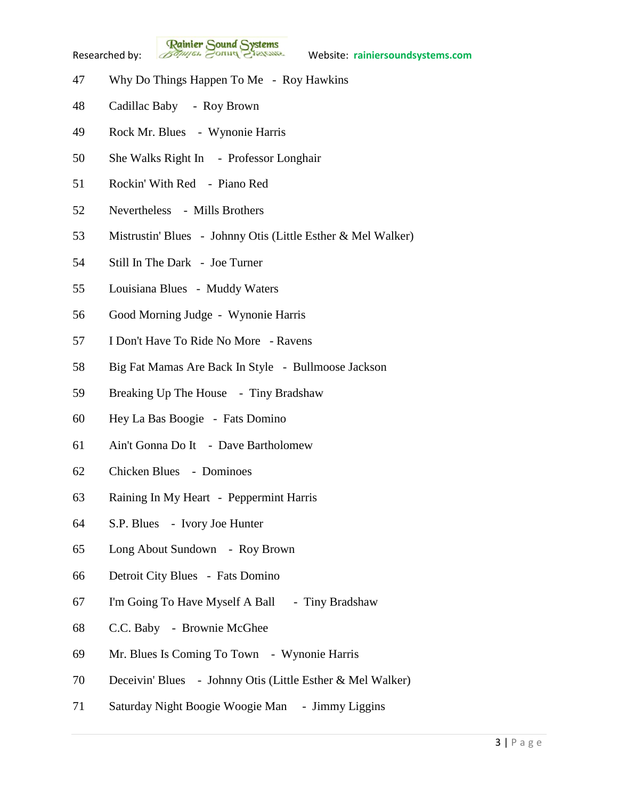

**Rainier Sound Systems**<br>Researched by: *Bothuges* Conner Charantee Website: rainiersoundsystems.com

- Why Do Things Happen To Me Roy Hawkins
- Cadillac Baby Roy Brown
- Rock Mr. Blues Wynonie Harris
- She Walks Right In Professor Longhair
- Rockin' With Red Piano Red
- Nevertheless Mills Brothers
- Mistrustin' Blues Johnny Otis (Little Esther & Mel Walker)
- Still In The Dark Joe Turner
- Louisiana Blues Muddy Waters
- Good Morning Judge Wynonie Harris
- I Don't Have To Ride No More Ravens
- Big Fat Mamas Are Back In Style Bullmoose Jackson
- Breaking Up The House Tiny Bradshaw
- Hey La Bas Boogie Fats Domino
- Ain't Gonna Do It Dave Bartholomew
- Chicken Blues Dominoes
- Raining In My Heart Peppermint Harris
- S.P. Blues Ivory Joe Hunter
- Long About Sundown Roy Brown
- Detroit City Blues Fats Domino
- I'm Going To Have Myself A Ball Tiny Bradshaw
- C.C. Baby Brownie McGhee
- Mr. Blues Is Coming To Town Wynonie Harris
- Deceivin' Blues Johnny Otis (Little Esther & Mel Walker)
- Saturday Night Boogie Woogie Man Jimmy Liggins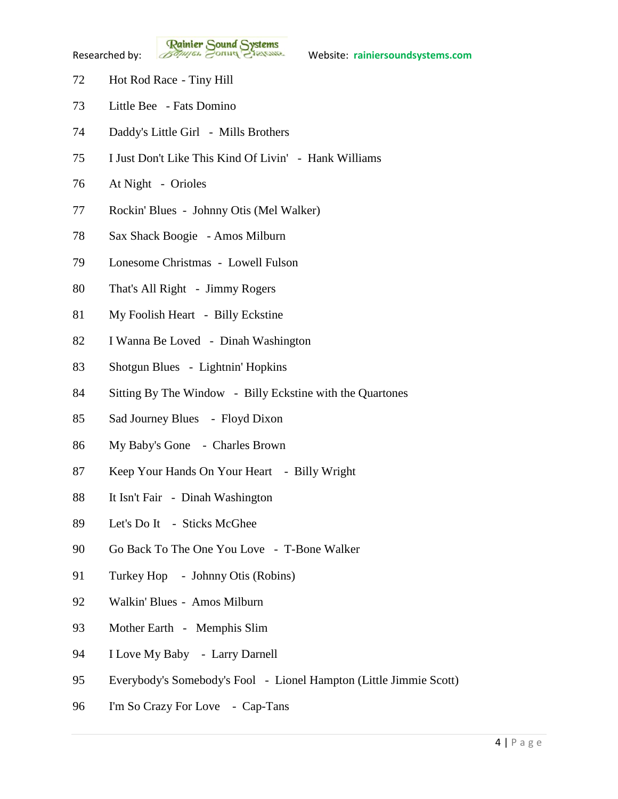**Rainier Sound Systems**<br>Researched by: *Bothuges* Conner Charantee Website: rainiersoundsystems.com

- Hot Rod Race Tiny Hill
- Little Bee Fats Domino
- Daddy's Little Girl Mills Brothers
- I Just Don't Like This Kind Of Livin' Hank Williams
- At Night Orioles
- Rockin' Blues Johnny Otis (Mel Walker)
- Sax Shack Boogie Amos Milburn
- Lonesome Christmas Lowell Fulson
- That's All Right Jimmy Rogers
- My Foolish Heart Billy Eckstine
- I Wanna Be Loved Dinah Washington
- Shotgun Blues Lightnin' Hopkins
- Sitting By The Window Billy Eckstine with the Quartones
- Sad Journey Blues Floyd Dixon
- My Baby's Gone Charles Brown
- Keep Your Hands On Your Heart Billy Wright
- It Isn't Fair Dinah Washington
- Let's Do It Sticks McGhee
- Go Back To The One You Love T-Bone Walker
- 91 Turkey Hop Johnny Otis (Robins)
- Walkin' Blues Amos Milburn
- Mother Earth Memphis Slim
- I Love My Baby Larry Darnell
- Everybody's Somebody's Fool Lionel Hampton (Little Jimmie Scott)
- I'm So Crazy For Love Cap-Tans